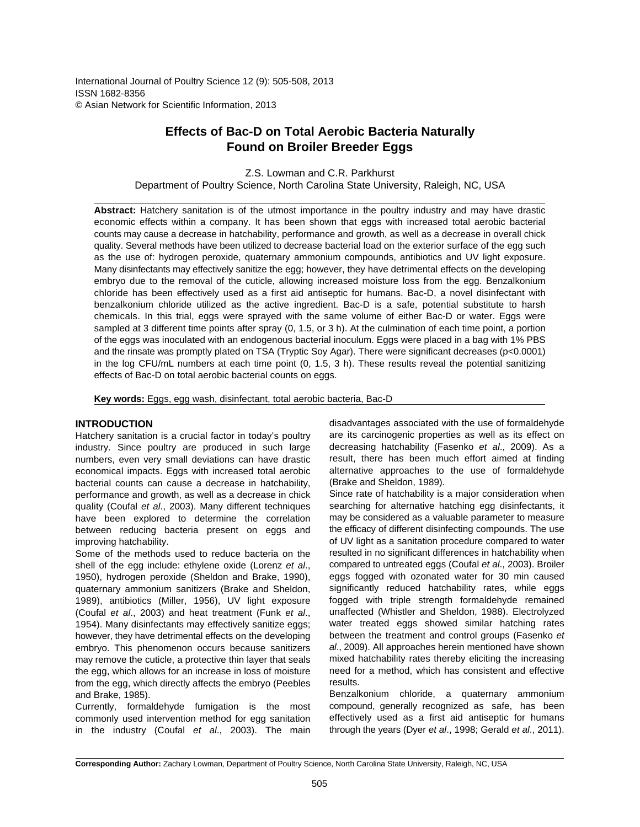International Journal of Poultry Science 12 (9): 505-508, 2013 ISSN 1682-8356 © Asian Network for Scientific Information, 2013

# **Effects of Bac-D on Total Aerobic Bacteria Naturally Found on Broiler Breeder Eggs**

Z.S. Lowman and C.R. Parkhurst

Department of Poultry Science, North Carolina State University, Raleigh, NC, USA

**Abstract:** Hatchery sanitation is of the utmost importance in the poultry industry and may have drastic economic effects within a company. It has been shown that eggs with increased total aerobic bacterial counts may cause a decrease in hatchability, performance and growth, as well as a decrease in overall chick quality. Several methods have been utilized to decrease bacterial load on the exterior surface of the egg such as the use of: hydrogen peroxide, quaternary ammonium compounds, antibiotics and UV light exposure. Many disinfectants may effectively sanitize the egg; however, they have detrimental effects on the developing embryo due to the removal of the cuticle, allowing increased moisture loss from the egg. Benzalkonium chloride has been effectively used as a first aid antiseptic for humans. Bac-D, a novel disinfectant with benzalkonium chloride utilized as the active ingredient. Bac-D is a safe, potential substitute to harsh chemicals. In this trial, eggs were sprayed with the same volume of either Bac-D or water. Eggs were sampled at 3 different time points after spray (0, 1.5, or 3 h). At the culmination of each time point, a portion of the eggs was inoculated with an endogenous bacterial inoculum. Eggs were placed in a bag with 1% PBS and the rinsate was promptly plated on TSA (Tryptic Soy Agar). There were significant decreases (p<0.0001) in the log CFU/mL numbers at each time point (0, 1.5, 3 h). These results reveal the potential sanitizing effects of Bac-D on total aerobic bacterial counts on eggs.

**Key words:** Eggs, egg wash, disinfectant, total aerobic bacteria, Bac-D

## **INTRODUCTION**

Hatchery sanitation is a crucial factor in today's poultry industry. Since poultry are produced in such large numbers, even very small deviations can have drastic economical impacts. Eggs with increased total aerobic bacterial counts can cause a decrease in hatchability, performance and growth, as well as a decrease in chick quality (Coufal *et al*., 2003). Many different techniques have been explored to determine the correlation between reducing bacteria present on eggs and improving hatchability.

Some of the methods used to reduce bacteria on the shell of the egg include: ethylene oxide (Lorenz *et al*., 1950), hydrogen peroxide (Sheldon and Brake, 1990), quaternary ammonium sanitizers (Brake and Sheldon, 1989), antibiotics (Miller, 1956), UV light exposure (Coufal *et al*., 2003) and heat treatment (Funk *et al*., 1954). Many disinfectants may effectively sanitize eggs; however, they have detrimental effects on the developing embryo. This phenomenon occurs because sanitizers may remove the cuticle, a protective thin layer that seals the egg, which allows for an increase in loss of moisture from the egg, which directly affects the embryo (Peebles and Brake, 1985).

Currently, formaldehyde fumigation is the most commonly used intervention method for egg sanitation in the industry (Coufal *et al*., 2003). The main

disadvantages associated with the use of formaldehyde are its carcinogenic properties as well as its effect on decreasing hatchability (Fasenko *et al*., 2009). As a result, there has been much effort aimed at finding alternative approaches to the use of formaldehyde (Brake and Sheldon, 1989).

Since rate of hatchability is a major consideration when searching for alternative hatching egg disinfectants, it may be considered as a valuable parameter to measure the efficacy of different disinfecting compounds. The use of UV light as a sanitation procedure compared to water resulted in no significant differences in hatchability when compared to untreated eggs (Coufal *et al*., 2003). Broiler eggs fogged with ozonated water for 30 min caused significantly reduced hatchability rates, while eggs fogged with triple strength formaldehyde remained unaffected (Whistler and Sheldon, 1988). Electrolyzed water treated eggs showed similar hatching rates between the treatment and control groups (Fasenko *et al*., 2009). All approaches herein mentioned have shown mixed hatchability rates thereby eliciting the increasing need for a method, which has consistent and effective results.

Benzalkonium chloride, a quaternary ammonium compound, generally recognized as safe, has been effectively used as a first aid antiseptic for humans through the years (Dyer *et al*., 1998; Gerald *et al*., 2011).

**Corresponding Author:** Zachary Lowman, Department of Poultry Science, North Carolina State University, Raleigh, NC, USA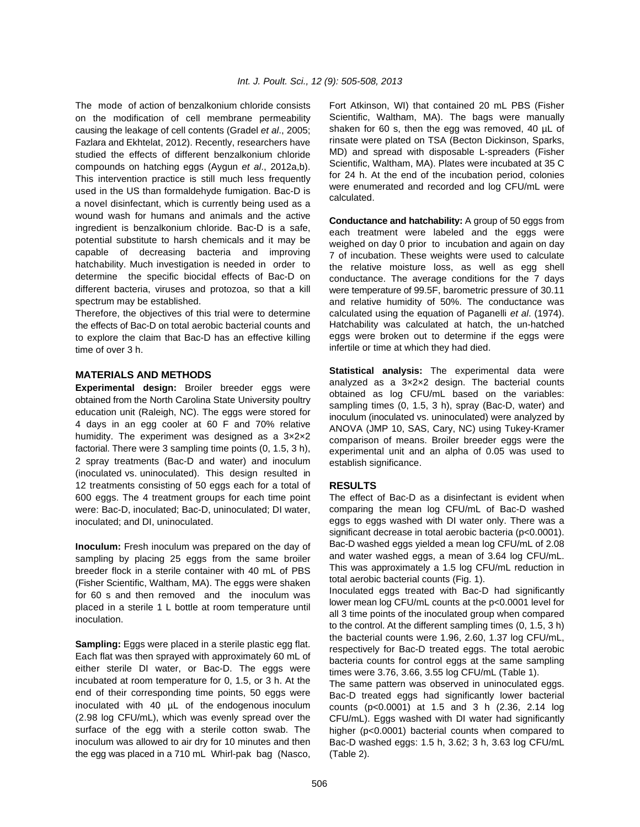on the modification of cell membrane permeability causing the leakage of cell contents (Gradel *et al*., 2005; Fazlara and Ekhtelat, 2012). Recently, researchers have studied the effects of different benzalkonium chloride compounds on hatching eggs (Aygun *et al*., 2012a,b). This intervention practice is still much less frequently used in the US than formaldehyde fumigation. Bac-D is a novel disinfectant, which is currently being used as a wound wash for humans and animals and the active ingredient is benzalkonium chloride. Bac-D is a safe, potential substitute to harsh chemicals and it may be capable of decreasing bacteria and improving hatchability. Much investigation is needed in order to determine the specific biocidal effects of Bac-D on different bacteria, viruses and protozoa, so that a kill spectrum may be established.

Therefore, the objectives of this trial were to determine the effects of Bac-D on total aerobic bacterial counts and to explore the claim that Bac-D has an effective killing time of over 3 h.

#### **MATERIALS AND METHODS**

**Experimental design:** Broiler breeder eggs were obtained from the North Carolina State University poultry education unit (Raleigh, NC). The eggs were stored for 4 days in an egg cooler at 60 F and 70% relative humidity. The experiment was designed as a 3×2×2 factorial. There were 3 sampling time points (0, 1.5, 3 h), 2 spray treatments (Bac-D and water) and inoculum (inoculated vs. uninoculated). This design resulted in 12 treatments consisting of 50 eggs each for a total of 600 eggs. The 4 treatment groups for each time point were: Bac-D, inoculated; Bac-D, uninoculated; DI water, inoculated; and DI, uninoculated.

**Inoculum:** Fresh inoculum was prepared on the day of sampling by placing 25 eggs from the same broiler breeder flock in a sterile container with 40 mL of PBS (Fisher Scientific, Waltham, MA). The eggs were shaken for 60 s and then removed and the inoculum was placed in a sterile 1 L bottle at room temperature until inoculation.

**Sampling:** Eggs were placed in a sterile plastic egg flat. Each flat was then sprayed with approximately 60 mL of either sterile DI water, or Bac-D. The eggs were incubated at room temperature for 0, 1.5, or 3 h. At the end of their corresponding time points, 50 eggs were inoculated with 40 µL of the endogenous inoculum (2.98 log CFU/mL), which was evenly spread over the surface of the egg with a sterile cotton swab. The inoculum was allowed to air dry for 10 minutes and then the egg was placed in a 710 mL Whirl-pak bag (Nasco,

The mode of action of benzalkonium chloride consists Fort Atkinson, WI) that contained 20 mL PBS (Fisher Scientific, Waltham, MA). The bags were manually shaken for 60 s, then the egg was removed, 40 µL of rinsate were plated on TSA (Becton Dickinson, Sparks, MD) and spread with disposable L-spreaders (Fisher Scientific, Waltham, MA). Plates were incubated at 35 C for 24 h. At the end of the incubation period, colonies were enumerated and recorded and log CFU/mL were calculated.

> **Conductance and hatchability:** A group of 50 eggs from each treatment were labeled and the eggs were weighed on day 0 prior to incubation and again on day 7 of incubation. These weights were used to calculate the relative moisture loss, as well as egg shell conductance. The average conditions for the 7 days were temperature of 99.5F, barometric pressure of 30.11 and relative humidity of 50%. The conductance was calculated using the equation of Paganelli *et al*. (1974). Hatchability was calculated at hatch, the un-hatched eggs were broken out to determine if the eggs were infertile or time at which they had died.

> **Statistical analysis:** The experimental data were analyzed as a 3×2×2 design. The bacterial counts obtained as log CFU/mL based on the variables: sampling times (0, 1.5, 3 h), spray (Bac-D, water) and inoculum (inoculated vs. uninoculated) were analyzed by ANOVA (JMP 10, SAS, Cary, NC) using Tukey-Kramer comparison of means. Broiler breeder eggs were the experimental unit and an alpha of 0.05 was used to establish significance.

## **RESULTS**

The effect of Bac-D as a disinfectant is evident when comparing the mean log CFU/mL of Bac-D washed eggs to eggs washed with DI water only. There was a significant decrease in total aerobic bacteria (p<0.0001). Bac-D washed eggs yielded a mean log CFU/mL of 2.08 and water washed eggs, a mean of 3.64 log CFU/mL. This was approximately a 1.5 log CFU/mL reduction in total aerobic bacterial counts (Fig. 1).

Inoculated eggs treated with Bac-D had significantly lower mean log CFU/mL counts at the p<0.0001 level for all 3 time points of the inoculated group when compared to the control. At the different sampling times (0, 1.5, 3 h) the bacterial counts were 1.96, 2.60, 1.37 log CFU/mL, respectively for Bac-D treated eggs. The total aerobic bacteria counts for control eggs at the same sampling times were 3.76, 3.66, 3.55 log CFU/mL (Table 1).

The same pattern was observed in uninoculated eggs. Bac-D treated eggs had significantly lower bacterial counts (p<0.0001) at 1.5 and 3 h (2.36, 2.14 log CFU/mL). Eggs washed with DI water had significantly higher (p<0.0001) bacterial counts when compared to Bac-D washed eggs: 1.5 h, 3.62; 3 h, 3.63 log CFU/mL (Table 2).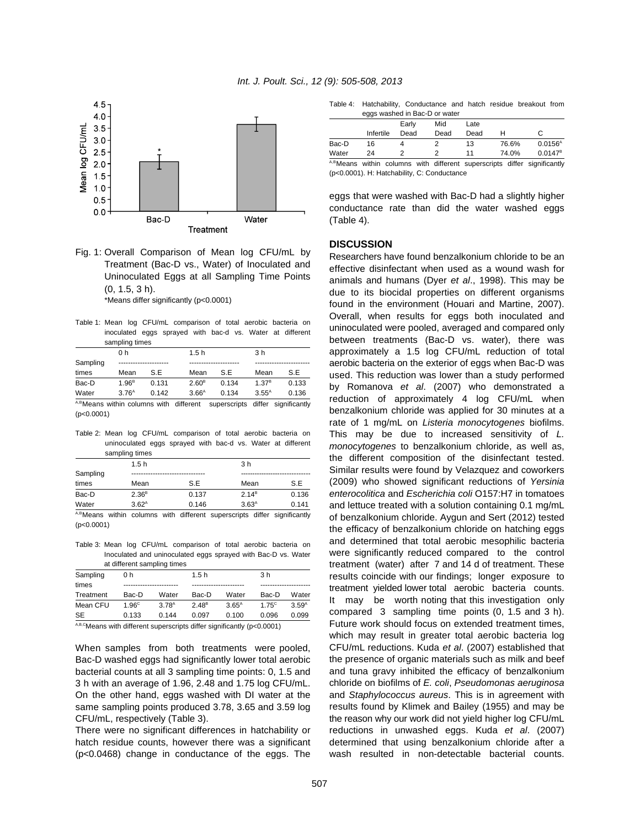

Fig. 1: Overall Comparison of Mean log CFU/mL by Treatment (Bac-D vs., Water) of Inoculated and Uninoculated Eggs at all Sampling Time Points (0, 1.5, 3 h).

\*Means differ significantly (p<0.0001)

Table 1: Mean log CFU/mL comparison of total aerobic bacteria on inoculated eggs sprayed with bac-d vs. Water at different sampling times

|                                             | 0 h               |       | 1.5h              |                      | 3 h               |                      |  |
|---------------------------------------------|-------------------|-------|-------------------|----------------------|-------------------|----------------------|--|
| Sampling                                    |                   |       |                   |                      |                   |                      |  |
| times                                       | Mean              | S.E   | Mean              | S F                  | Mean              | S.E                  |  |
| Bac-D                                       | $1.96^B$          | 0.131 | 2.60 <sup>B</sup> | 0.134                | 1.37 <sup>B</sup> | 0.133                |  |
| Water                                       | 3.76 <sup>A</sup> | 0.142 | 3.66 <sup>A</sup> | 0.134                | $3.55^{A}$        | 0.136                |  |
| $A.BMAana with bin solution with different$ |                   |       |                   | $\alpha$ unoroorinto |                   | differ cianificantly |  |

A,BMeans within columns with different superscripts differ significantly (p<0.0001)

Table 2: Mean log CFU/mL comparison of total aerobic bacteria on uninoculated eggs sprayed with bac-d vs. Water at different sampling times

| $50.11$ $10.111$ $10.111$ |            |                   |  |       |                                                                          |                |       |  |  |
|---------------------------|------------|-------------------|--|-------|--------------------------------------------------------------------------|----------------|-------|--|--|
| 1.5h                      |            |                   |  |       |                                                                          | 3 <sub>h</sub> |       |  |  |
| Sampling                  |            |                   |  |       |                                                                          |                |       |  |  |
| times                     |            | Mean              |  | S.E   | Mean                                                                     |                | S.E   |  |  |
| Bac-D                     |            | 2.36 <sup>B</sup> |  | 0.137 | 2.14 <sup>B</sup>                                                        |                | 0.136 |  |  |
| Water                     | $3.62^{A}$ |                   |  | 0.146 | 3.63 <sup>A</sup>                                                        |                | 0.141 |  |  |
|                           |            |                   |  |       | A,BMeans within columns with different superscripts differ significantly |                |       |  |  |

(p<0.0001)

Table 3: Mean log CFU/mL comparison of total aerobic bacteria on Inoculated and uninoculated eggs sprayed with Bac-D vs. Water at different sampling times

| Sampling  | 0 h               |                   | 1.5h              |          | 3 <sub>h</sub> |                   |
|-----------|-------------------|-------------------|-------------------|----------|----------------|-------------------|
| times     |                   |                   |                   |          |                |                   |
| Treatment | Bac-D             | Water             | Bac-D             | Water    | Bac-D          | Water             |
| Mean CFU  | 1.96 <sup>c</sup> | 3.78 <sup>A</sup> | 2.48 <sup>B</sup> | $3.65^A$ | $175^{\circ}$  | 3.59 <sup>A</sup> |
| SE        | 0.133             | 0.144             | 0.097             | 0.100    | 0.096          | 0.099             |
| .         |                   |                   |                   |          |                |                   |

 $A,B,C$ Means with different superscripts differ significantly ( $p$ <0.0001)

When samples from both treatments were pooled, Bac-D washed eggs had significantly lower total aerobic bacterial counts at all 3 sampling time points: 0, 1.5 and 3 h with an average of 1.96, 2.48 and 1.75 log CFU/mL. On the other hand, eggs washed with DI water at the same sampling points produced 3.78, 3.65 and 3.59 log CFU/mL, respectively (Table 3).

There were no significant differences in hatchability or (p<0.0468) change in conductance of the eggs. The

Table 4: Hatchability, Conductance and hatch residue breakout from eggs washed in Bac-D or water

|       |           | Early | Mid<br>Late                                                              |       |                     |
|-------|-----------|-------|--------------------------------------------------------------------------|-------|---------------------|
|       | Infertile | Dead  | Dead<br>Dead                                                             |       |                     |
| Bac-D | 16        |       | 13                                                                       | 76.6% | $0.0156^{\text{A}}$ |
| Water | 24        |       | 11                                                                       | 74.0% | $0.0147^8$          |
|       |           |       | A,BMeans within columns with different superscripts differ significantly |       |                     |

(p<0.0001). H: Hatchability, C: Conductance

eggs that were washed with Bac-D had a slightly higher conductance rate than did the water washed eggs (Table 4).

#### **DISCUSSION**

hatch residue counts, however there was a significant determined that using benzalkonium chloride after a Researchers have found benzalkonium chloride to be an effective disinfectant when used as a wound wash for animals and humans (Dyer *et al*., 1998). This may be due to its biocidal properties on different organisms found in the environment (Houari and Martine, 2007). Overall, when results for eggs both inoculated and uninoculated were pooled, averaged and compared only between treatments (Bac-D vs. water), there was approximately a 1.5 log CFU/mL reduction of total aerobic bacteria on the exterior of eggs when Bac-D was used. This reduction was lower than a study performed by Romanova *et al*. (2007) who demonstrated a reduction of approximately 4 log CFU/mL when benzalkonium chloride was applied for 30 minutes at a rate of 1 mg/mL on *Listeria monocytogenes* biofilms. This may be due to increased sensitivity of *L. monocytogenes* to benzalkonium chloride, as well as, the different composition of the disinfectant tested. Similar results were found by Velazquez and coworkers (2009) who showed significant reductions of *Yersinia enterocolitica* and *Escherichia coli* O157:H7 in tomatoes and lettuce treated with a solution containing 0.1 mg/mL of benzalkonium chloride. Aygun and Sert (2012) tested the efficacy of benzalkonium chloride on hatching eggs and determined that total aerobic mesophilic bacteria were significantly reduced compared to the control treatment (water) after 7 and 14 d of treatment. These results coincide with our findings; longer exposure to treatment yielded lower total aerobic bacteria counts. It may be worth noting that this investigation only compared 3 sampling time points (0, 1.5 and 3 h). Future work should focus on extended treatment times, which may result in greater total aerobic bacteria log CFU/mL reductions. Kuda *et al*. (2007) established that the presence of organic materials such as milk and beef and tuna gravy inhibited the efficacy of benzalkonium chloride on biofilms of *E. coli*, *Pseudomonas aeruginosa* and *Staphylococcus aureus*. This is in agreement with results found by Klimek and Bailey (1955) and may be the reason why our work did not yield higher log CFU/mL reductions in unwashed eggs. Kuda *et al*. (2007) wash resulted in non-detectable bacterial counts.